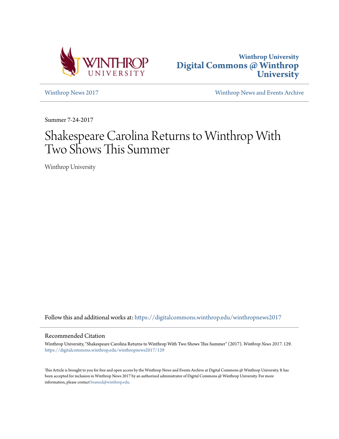



[Winthrop News 2017](https://digitalcommons.winthrop.edu/winthropnews2017?utm_source=digitalcommons.winthrop.edu%2Fwinthropnews2017%2F129&utm_medium=PDF&utm_campaign=PDFCoverPages) [Winthrop News and Events Archive](https://digitalcommons.winthrop.edu/winthropnewsarchives?utm_source=digitalcommons.winthrop.edu%2Fwinthropnews2017%2F129&utm_medium=PDF&utm_campaign=PDFCoverPages)

Summer 7-24-2017

# Shakespeare Carolina Returns to Winthrop With Two Shows This Summer

Winthrop University

Follow this and additional works at: [https://digitalcommons.winthrop.edu/winthropnews2017](https://digitalcommons.winthrop.edu/winthropnews2017?utm_source=digitalcommons.winthrop.edu%2Fwinthropnews2017%2F129&utm_medium=PDF&utm_campaign=PDFCoverPages)

### Recommended Citation

Winthrop University, "Shakespeare Carolina Returns to Winthrop With Two Shows This Summer" (2017). *Winthrop News 2017*. 129. [https://digitalcommons.winthrop.edu/winthropnews2017/129](https://digitalcommons.winthrop.edu/winthropnews2017/129?utm_source=digitalcommons.winthrop.edu%2Fwinthropnews2017%2F129&utm_medium=PDF&utm_campaign=PDFCoverPages)

This Article is brought to you for free and open access by the Winthrop News and Events Archive at Digital Commons @ Winthrop University. It has been accepted for inclusion in Winthrop News 2017 by an authorized administrator of Digital Commons @ Winthrop University. For more information, please contact [bramed@winthrop.edu](mailto:bramed@winthrop.edu).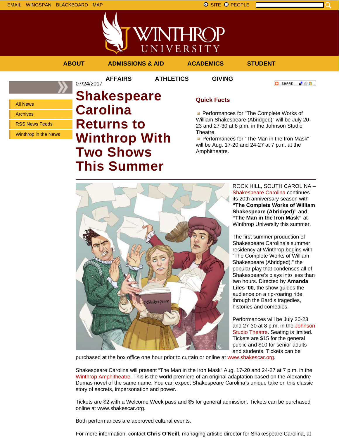

**O** SHARE

「验費」



**AFFAIRS ATHLETICS GIVING**

07/24/2017

**ABOUT ADMISSIONS & AID ACADEMICS STUDENT**

All News

Archives

RSS News Feeds

Winthrop in the News

# **Shakespeare Carolina Returns to Winthrop With Two Shows This Summer**

## **Quick Facts**

**Performances for "The Complete Works of** William Shakespeare (Abridged)" will be July 20- 23 and 27-30 at 8 p.m. in the Johnson Studio Theatre.

Performances for "The Man in the Iron Mask" will be Aug. 17-20 and 24-27 at 7 p.m. at the Amphitheatre.



ROCK HILL, SOUTH CAROLINA – Shakespeare Carolina continues its 20th anniversary season with **"The Complete Works of William Shakespeare (Abridged)"** and **"The Man in the Iron Mask"** at Winthrop University this summer.

The first summer production of Shakespeare Carolina's summer residency at Winthrop begins with "The Complete Works of William Shakespeare (Abridged)," the popular play that condenses all of Shakespeare's plays into less than two hours. Directed by **Amanda Liles '00**, the show guides the audience on a rip-roaring ride through the Bard's tragedies, histories and comedies.

Performances will be July 20-23 and 27-30 at 8 p.m. in the Johnson Studio Theatre. Seating is limited. Tickets are \$15 for the general public and \$10 for senior adults and students. Tickets can be

purchased at the box office one hour prior to curtain or online at www.shakescar.org.

Shakespeare Carolina will present "The Man in the Iron Mask" Aug. 17-20 and 24-27 at 7 p.m. in the Winthrop Amphitheatre. This is the world premiere of an original adaptation based on the Alexandre Dumas novel of the same name. You can expect Shakespeare Carolina's unique take on this classic story of secrets, impersonation and power.

Tickets are \$2 with a Welcome Week pass and \$5 for general admission. Tickets can be purchased online at www.shakescar.org.

Both performances are approved cultural events.

For more information, contact **Chris O'Neill**, managing artistic director for Shakespeare Carolina, at